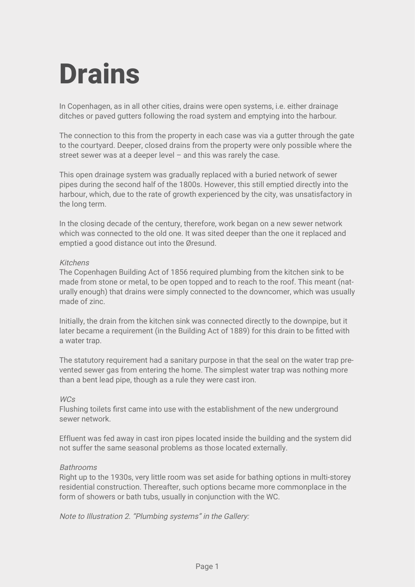## **Drains**

In Copenhagen, as in all other cities, drains were open systems, i.e. either drainage ditches or paved gutters following the road system and emptying into the harbour.

The connection to this from the property in each case was via a gutter through the gate to the courtyard. Deeper, closed drains from the property were only possible where the street sewer was at a deeper level  $-$  and this was rarely the case.

This open drainage system was gradually replaced with a buried network of sewer pipes during the second half of the 1800s. However, this still emptied directly into the harbour, which, due to the rate of growth experienced by the city, was unsatisfactory in the long term.

In the closing decade of the century, therefore, work began on a new sewer network which was connected to the old one. It was sited deeper than the one it replaced and emptied a good distance out into the Øresund.

## Kitchens

The Copenhagen Building Act of 1856 required plumbing from the kitchen sink to be made from stone or metal, to be open topped and to reach to the roof. This meant (naturally enough) that drains were simply connected to the downcomer, which was usually made of zinc.

Initially, the drain from the kitchen sink was connected directly to the downpipe, but it later became a requirement (in the Building Act of 1889) for this drain to be fitted with a water trap.

The statutory requirement had a sanitary purpose in that the seal on the water trap prevented sewer gas from entering the home. The simplest water trap was nothing more than a bent lead pipe, though as a rule they were cast iron.

## WCs

Flushing toilets first came into use with the establishment of the new underground sewer network.

Effluent was fed away in cast iron pipes located inside the building and the system did not suffer the same seasonal problems as those located externally.

## Bathrooms

Right up to the 1930s, very little room was set aside for bathing options in multi-storey residential construction. Thereafter, such options became more commonplace in the form of showers or bath tubs, usually in conjunction with the WC.

Note to Illustration 2. "Plumbing systems" in the Gallery: